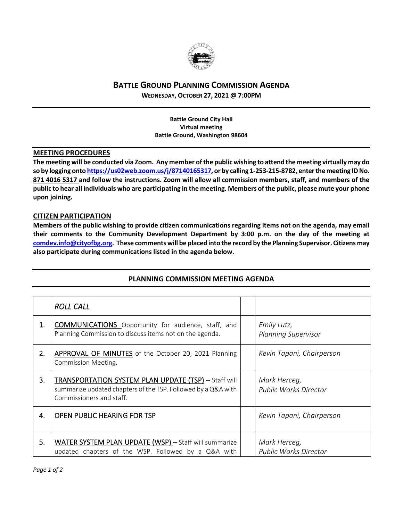

## **BATTLE GROUND PLANNING COMMISSION AGENDA**

**WEDNESDAY, OCTOBER 27, 2021 @ 7:00PM**

**Battle Ground City Hall Virtual meeting Battle Ground, Washington 98604**

## **MEETING PROCEDURES**

The meeting will be conducted via Zoom. Any member of the public wishing to attend the meeting virtually may do so by logging onto https://us02web.zoom.us/j/87140165317, or by calling 1-253-215-8782, enter the meeting ID No. 871 4016 5317 and follow the instructions. Zoom will allow all commission members, staff, and members of the public to hear all individuals who are participating in the meeting. Members of the public, please mute your phone **upon joining.**

## **CITIZEN PARTICIPATION**

Members of the public wishing to provide citizen communications regarding items not on the agenda, may email **their comments to the Community Development Department by 3:00 p.m. on the day of the meeting at comdev.info@cityofbg.org. These comments will be placed into the record by the Planning Supervisor. Citizens may also participate during communications listed in the agenda below.** 

|    | <b>ROLL CALL</b>                                                                                                                                         |                                              |
|----|----------------------------------------------------------------------------------------------------------------------------------------------------------|----------------------------------------------|
| 1. | <b>COMMUNICATIONS</b> Opportunity for audience, staff, and<br>Planning Commission to discuss items not on the agenda.                                    | Emily Lutz,<br><b>Planning Supervisor</b>    |
| 2. | <b>APPROVAL OF MINUTES</b> of the October 20, 2021 Planning<br><b>Commission Meeting.</b>                                                                | Kevin Tapani, Chairperson                    |
| 3. | <b>TRANSPORTATION SYSTEM PLAN UPDATE (TSP)</b> - Staff will<br>summarize updated chapters of the TSP. Followed by a Q&A with<br>Commissioners and staff. | Mark Herceg,<br><b>Public Works Director</b> |
| 4. | OPEN PUBLIC HEARING FOR TSP                                                                                                                              | Kevin Tapani, Chairperson                    |
| 5. | WATER SYSTEM PLAN UPDATE (WSP) - Staff will summarize<br>updated chapters of the WSP. Followed by a Q&A with                                             | Mark Herceg,<br><b>Public Works Director</b> |

## **PLANNING COMMISSION MEETING AGENDA**